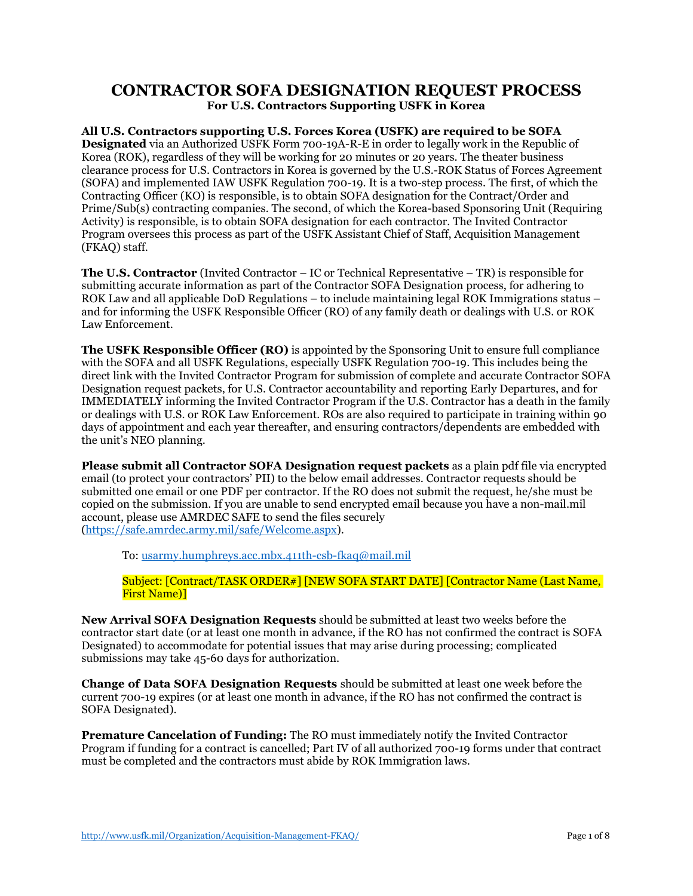# **CONTRACTOR SOFA DESIGNATION REQUEST PROCESS For U.S. Contractors Supporting USFK in Korea**

**All U.S. Contractors supporting U.S. Forces Korea (USFK) are required to be SOFA Designated** via an Authorized USFK Form 700-19A-R-E in order to legally work in the Republic of Korea (ROK), regardless of they will be working for 20 minutes or 20 years. The theater business clearance process for U.S. Contractors in Korea is governed by the U.S.-ROK Status of Forces Agreement (SOFA) and implemented IAW USFK Regulation 700-19. It is a two-step process. The first, of which the Contracting Officer (KO) is responsible, is to obtain SOFA designation for the Contract/Order and Prime/Sub(s) contracting companies. The second, of which the Korea-based Sponsoring Unit (Requiring Activity) is responsible, is to obtain SOFA designation for each contractor. The Invited Contractor Program oversees this process as part of the USFK Assistant Chief of Staff, Acquisition Management (FKAQ) staff.

**The U.S. Contractor** (Invited Contractor – IC or Technical Representative – TR) is responsible for submitting accurate information as part of the Contractor SOFA Designation process, for adhering to ROK Law and all applicable DoD Regulations – to include maintaining legal ROK Immigrations status – and for informing the USFK Responsible Officer (RO) of any family death or dealings with U.S. or ROK Law Enforcement.

**The USFK Responsible Officer (RO)** is appointed by the Sponsoring Unit to ensure full compliance with the SOFA and all USFK Regulations, especially USFK Regulation 700-19. This includes being the direct link with the Invited Contractor Program for submission of complete and accurate Contractor SOFA Designation request packets, for U.S. Contractor accountability and reporting Early Departures, and for IMMEDIATELY informing the Invited Contractor Program if the U.S. Contractor has a death in the family or dealings with U.S. or ROK Law Enforcement. ROs are also required to participate in training within 90 days of appointment and each year thereafter, and ensuring contractors/dependents are embedded with the unit's NEO planning.

**Please submit all Contractor SOFA Designation request packets** as a plain pdf file via encrypted email (to protect your contractors' PII) to the below email addresses. Contractor requests should be submitted one email or one PDF per contractor. If the RO does not submit the request, he/she must be copied on the submission. If you are unable to send encrypted email because you have a non-mail.mil account, please use AMRDEC SAFE to send the files securely [\(https://safe.amrdec.army.mil/safe/Welcome.aspx\)](https://safe.amrdec.army.mil/safe/Welcome.aspx).

To: [usarmy.humphreys.acc.mbx.411th-csb-fkaq@mail.mil](mailto:usarmy.humphreys.acc.mbx.411th-csb-fkaq@mail.mil)

#### Subject: [Contract/TASK ORDER#] [NEW SOFA START DATE] [Contractor Name (Last Name, First Name)]

**New Arrival SOFA Designation Requests** should be submitted at least two weeks before the contractor start date (or at least one month in advance, if the RO has not confirmed the contract is SOFA Designated) to accommodate for potential issues that may arise during processing; complicated submissions may take 45-60 days for authorization.

**Change of Data SOFA Designation Requests** should be submitted at least one week before the current 700-19 expires (or at least one month in advance, if the RO has not confirmed the contract is SOFA Designated).

**Premature Cancelation of Funding:** The RO must immediately notify the Invited Contractor Program if funding for a contract is cancelled; Part IV of all authorized 700-19 forms under that contract must be completed and the contractors must abide by ROK Immigration laws.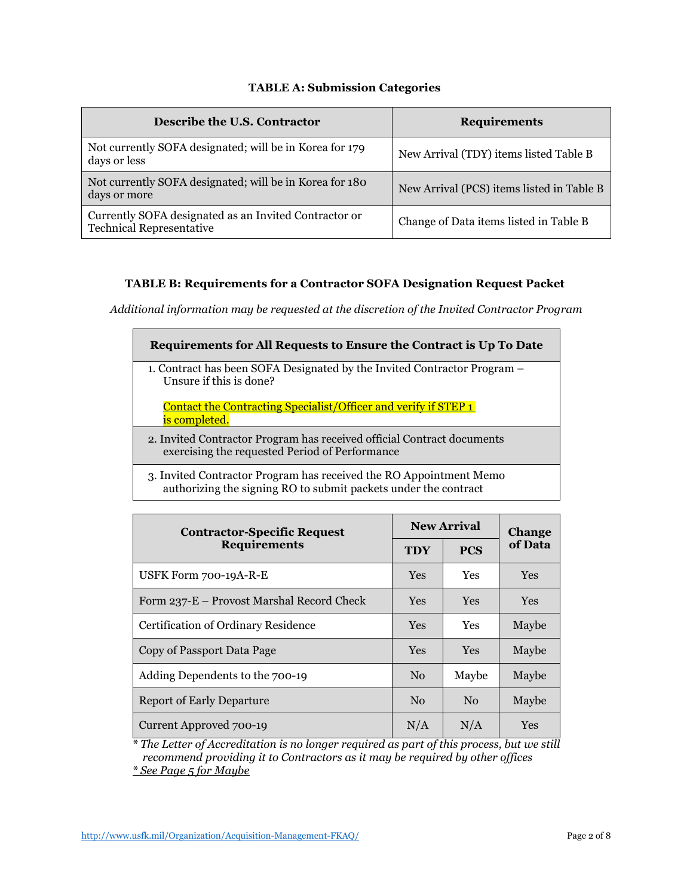## **TABLE A: Submission Categories**

| Describe the U.S. Contractor                                                             | <b>Requirements</b>                       |  |  |
|------------------------------------------------------------------------------------------|-------------------------------------------|--|--|
| Not currently SOFA designated; will be in Korea for 179<br>days or less                  | New Arrival (TDY) items listed Table B    |  |  |
| Not currently SOFA designated; will be in Korea for 180<br>days or more                  | New Arrival (PCS) items listed in Table B |  |  |
| Currently SOFA designated as an Invited Contractor or<br><b>Technical Representative</b> | Change of Data items listed in Table B    |  |  |

## **TABLE B: Requirements for a Contractor SOFA Designation Request Packet**

*Additional information may be requested at the discretion of the Invited Contractor Program*

| Requirements for All Requests to Ensure the Contract is Up To Date                                                       |
|--------------------------------------------------------------------------------------------------------------------------|
| 1. Contract has been SOFA Designated by the Invited Contractor Program –<br>Unsure if this is done?                      |
| Contact the Contracting Specialist/Officer and verify if STEP 1<br>is completed.                                         |
| 2. Invited Contractor Program has received official Contract documents<br>exercising the requested Period of Performance |
| 2. Invited Contractor Program has received the PO Appointment Mamo                                                       |

3. Invited Contractor Program has received the RO Appointment Memo authorizing the signing RO to submit packets under the contract

| <b>Contractor-Specific Request</b><br><b>Requirements</b> | <b>New Arrival</b> |            | <b>Change</b> |
|-----------------------------------------------------------|--------------------|------------|---------------|
|                                                           | <b>TDY</b>         | <b>PCS</b> | of Data       |
| USFK Form 700-19A-R-E                                     | Yes                | Yes        | <b>Yes</b>    |
| Form 237-E – Provost Marshal Record Check                 | <b>Yes</b>         | <b>Yes</b> | <b>Yes</b>    |
| Certification of Ordinary Residence                       | <b>Yes</b>         | <b>Yes</b> | Maybe         |
| Copy of Passport Data Page                                | <b>Yes</b>         | <b>Yes</b> | Maybe         |
| Adding Dependents to the 700-19                           | No                 | Maybe      | Maybe         |
| <b>Report of Early Departure</b>                          | N <sub>0</sub>     | No         | Maybe         |
| Current Approved 700-19                                   | N/A                | N/A        | Yes           |

*\* The Letter of Accreditation is no longer required as part of this process, but we still recommend providing it to Contractors as it may be required by other offices \* See Page 5 for Maybe*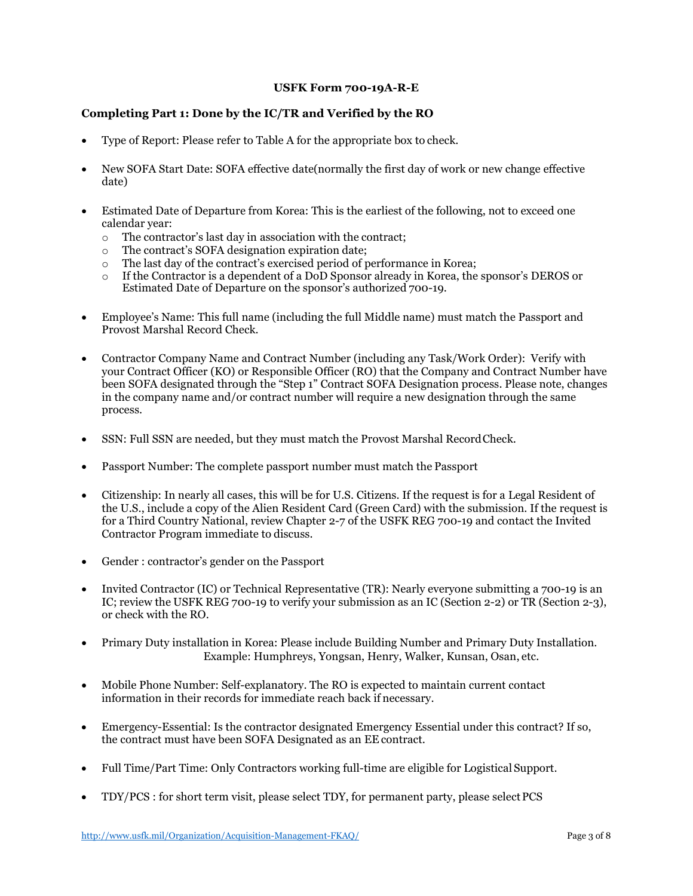#### **USFK Form 700-19A-R-E**

## **Completing Part 1: Done by the IC/TR and Verified by the RO**

- Type of Report: Please refer to Table A for the appropriate box to check.
- New SOFA Start Date: SOFA effective date(normally the first day of work or new change effective date)
- Estimated Date of Departure from Korea: This is the earliest of the following, not to exceed one calendar year:
	- $\circ$  The contractor's last day in association with the contract;<br>  $\circ$  The contract's SOFA designation expiration date;
	- $\circ$  The contract's SOFA designation expiration date;<br> $\circ$  The last day of the contract's exercised period of n
	- $\circ$  The last day of the contract's exercised period of performance in Korea;<br> $\circ$  If the Contractor is a dependent of a DoD Sponsor already in Korea, the
	- If the Contractor is a dependent of a DoD Sponsor already in Korea, the sponsor's DEROS or Estimated Date of Departure on the sponsor's authorized 700-19.
- Employee's Name: This full name (including the full Middle name) must match the Passport and Provost Marshal Record Check.
- Contractor Company Name and Contract Number (including any Task/Work Order): Verify with your Contract Officer (KO) or Responsible Officer (RO) that the Company and Contract Number have been SOFA designated through the "Step 1" Contract SOFA Designation process. Please note, changes in the company name and/or contract number will require a new designation through the same process.
- SSN: Full SSN are needed, but they must match the Provost Marshal RecordCheck.
- Passport Number: The complete passport number must match the Passport
- Citizenship: In nearly all cases, this will be for U.S. Citizens. If the request is for a Legal Resident of the U.S., include a copy of the Alien Resident Card (Green Card) with the submission. If the request is for a Third Country National, review Chapter 2-7 of the USFK REG 700-19 and contact the Invited Contractor Program immediate to discuss.
- Gender : contractor's gender on the Passport
- Invited Contractor (IC) or Technical Representative (TR): Nearly everyone submitting a 700-19 is an IC; review the USFK REG 700-19 to verify your submission as an IC (Section 2-2) or TR (Section 2-3), or check with the RO.
- Primary Duty installation in Korea: Please include Building Number and Primary Duty Installation. Example: Humphreys, Yongsan, Henry, Walker, Kunsan, Osan, etc.
- Mobile Phone Number: Self-explanatory. The RO is expected to maintain current contact information in their records for immediate reach back if necessary.
- Emergency-Essential: Is the contractor designated Emergency Essential under this contract? If so, the contract must have been SOFA Designated as an EE contract.
- Full Time/Part Time: Only Contractors working full-time are eligible for Logistical Support.
- TDY/PCS : for short term visit, please select TDY, for permanent party, please select PCS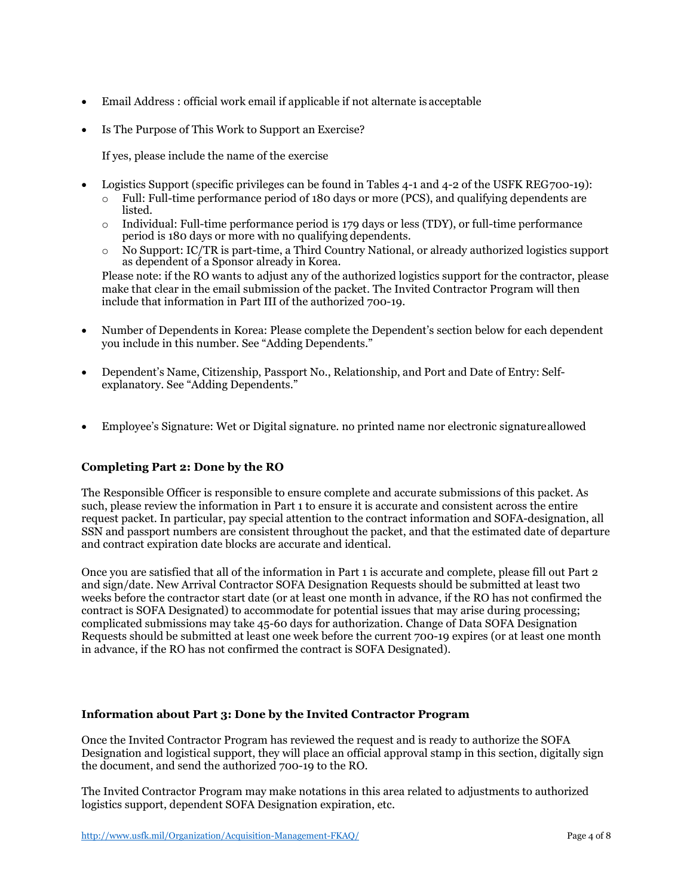- Email Address : official work email if applicable if not alternate is acceptable
- Is The Purpose of This Work to Support an Exercise?

If yes, please include the name of the exercise

- Logistics Support (specific privileges can be found in Tables 4-1 and 4-2 of the USFK REG700-19):
	- $\circ$  Full: Full-time performance period of 180 days or more (PCS), and qualifying dependents are listed.
	- $\circ$  Individual: Full-time performance period is 179 days or less (TDY), or full-time performance period is 180 days or more with no qualifying dependents.
	- o No Support: IC/TR is part-time, a Third Country National, or already authorized logistics support as dependent of a Sponsor already in Korea.

Please note: if the RO wants to adjust any of the authorized logistics support for the contractor, please make that clear in the email submission of the packet. The Invited Contractor Program will then include that information in Part III of the authorized 700-19.

- Number of Dependents in Korea: Please complete the Dependent's section below for each dependent you include in this number. See "Adding Dependents."
- Dependent's Name, Citizenship, Passport No., Relationship, and Port and Date of Entry: Selfexplanatory. See "Adding Dependents."
- Employee's Signature: Wet or Digital signature. no printed name nor electronic signatureallowed

## **Completing Part 2: Done by the RO**

The Responsible Officer is responsible to ensure complete and accurate submissions of this packet. As such, please review the information in Part 1 to ensure it is accurate and consistent across the entire request packet. In particular, pay special attention to the contract information and SOFA-designation, all SSN and passport numbers are consistent throughout the packet, and that the estimated date of departure and contract expiration date blocks are accurate and identical.

Once you are satisfied that all of the information in Part 1 is accurate and complete, please fill out Part 2 and sign/date. New Arrival Contractor SOFA Designation Requests should be submitted at least two weeks before the contractor start date (or at least one month in advance, if the RO has not confirmed the contract is SOFA Designated) to accommodate for potential issues that may arise during processing; complicated submissions may take 45-60 days for authorization. Change of Data SOFA Designation Requests should be submitted at least one week before the current 700-19 expires (or at least one month in advance, if the RO has not confirmed the contract is SOFA Designated).

#### **Information about Part 3: Done by the Invited Contractor Program**

Once the Invited Contractor Program has reviewed the request and is ready to authorize the SOFA Designation and logistical support, they will place an official approval stamp in this section, digitally sign the document, and send the authorized 700-19 to the RO.

The Invited Contractor Program may make notations in this area related to adjustments to authorized logistics support, dependent SOFA Designation expiration, etc.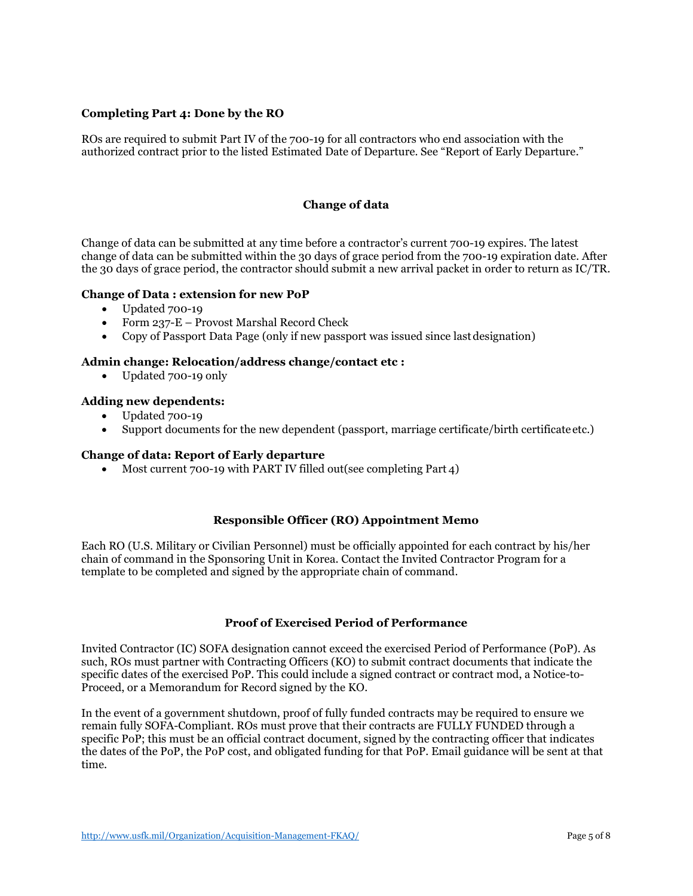## **Completing Part 4: Done by the RO**

ROs are required to submit Part IV of the 700-19 for all contractors who end association with the authorized contract prior to the listed Estimated Date of Departure. See "Report of Early Departure."

## **Change of data**

Change of data can be submitted at any time before a contractor's current 700-19 expires. The latest change of data can be submitted within the 30 days of grace period from the 700-19 expiration date. After the 30 days of grace period, the contractor should submit a new arrival packet in order to return as IC/TR.

#### **Change of Data : extension for new PoP**

- Updated 700-19
- Form 237-E Provost Marshal Record Check
- Copy of Passport Data Page (only if new passport was issued since lastdesignation)

#### **Admin change: Relocation/address change/contact etc :**

• Updated 700-19 only

## **Adding new dependents:**

- Updated 700-19
- Support documents for the new dependent (passport, marriage certificate/birth certificate etc.)

## **Change of data: Report of Early departure**

• Most current 700-19 with PART IV filled out(see completing Part  $\Delta$ )

#### **Responsible Officer (RO) Appointment Memo**

Each RO (U.S. Military or Civilian Personnel) must be officially appointed for each contract by his/her chain of command in the Sponsoring Unit in Korea. Contact the Invited Contractor Program for a template to be completed and signed by the appropriate chain of command.

#### **Proof of Exercised Period of Performance**

Invited Contractor (IC) SOFA designation cannot exceed the exercised Period of Performance (PoP). As such, ROs must partner with Contracting Officers (KO) to submit contract documents that indicate the specific dates of the exercised PoP. This could include a signed contract or contract mod, a Notice-to-Proceed, or a Memorandum for Record signed by the KO.

In the event of a government shutdown, proof of fully funded contracts may be required to ensure we remain fully SOFA-Compliant. ROs must prove that their contracts are FULLY FUNDED through a specific PoP; this must be an official contract document, signed by the contracting officer that indicates the dates of the PoP, the PoP cost, and obligated funding for that PoP. Email guidance will be sent at that time.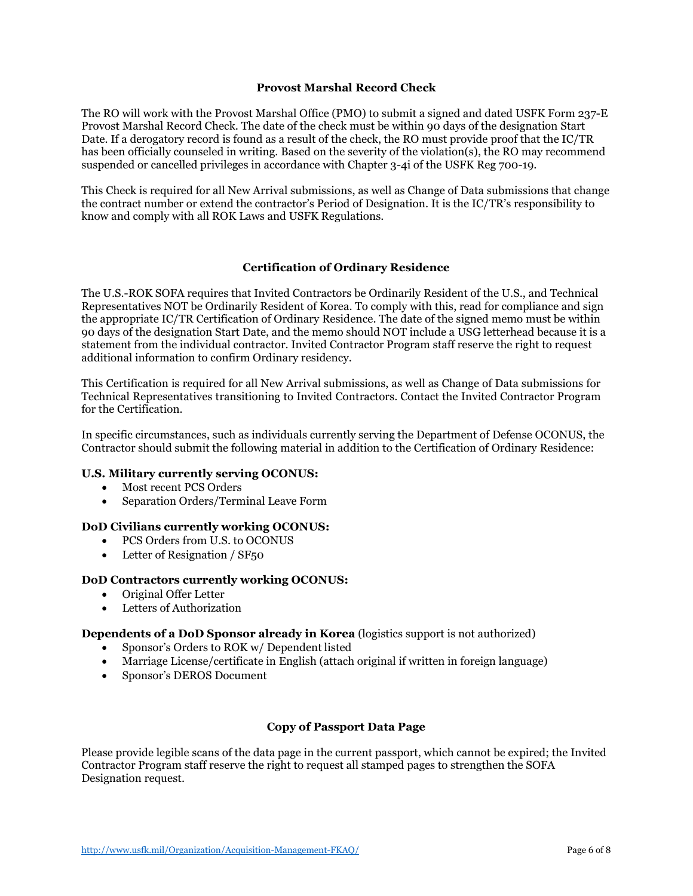## **Provost Marshal Record Check**

The RO will work with the Provost Marshal Office (PMO) to submit a signed and dated USFK Form 237-E Provost Marshal Record Check. The date of the check must be within 90 days of the designation Start Date. If a derogatory record is found as a result of the check, the RO must provide proof that the IC/TR has been officially counseled in writing. Based on the severity of the violation(s), the RO may recommend suspended or cancelled privileges in accordance with Chapter 3-4i of the USFK Reg 700-19.

This Check is required for all New Arrival submissions, as well as Change of Data submissions that change the contract number or extend the contractor's Period of Designation. It is the IC/TR's responsibility to know and comply with all ROK Laws and USFK Regulations.

## **Certification of Ordinary Residence**

The U.S.-ROK SOFA requires that Invited Contractors be Ordinarily Resident of the U.S., and Technical Representatives NOT be Ordinarily Resident of Korea. To comply with this, read for compliance and sign the appropriate IC/TR Certification of Ordinary Residence. The date of the signed memo must be within 90 days of the designation Start Date, and the memo should NOT include a USG letterhead because it is a statement from the individual contractor. Invited Contractor Program staff reserve the right to request additional information to confirm Ordinary residency.

This Certification is required for all New Arrival submissions, as well as Change of Data submissions for Technical Representatives transitioning to Invited Contractors. Contact the Invited Contractor Program for the Certification.

In specific circumstances, such as individuals currently serving the Department of Defense OCONUS, the Contractor should submit the following material in addition to the Certification of Ordinary Residence:

#### **U.S. Military currently serving OCONUS:**

- Most recent PCS Orders
- Separation Orders/Terminal Leave Form

## **DoD Civilians currently working OCONUS:**

- PCS Orders from U.S. to OCONUS
- Letter of Resignation / SF<sub>50</sub>

#### **DoD Contractors currently working OCONUS:**

- Original Offer Letter
- Letters of Authorization

#### **Dependents of a DoD Sponsor already in Korea** (logistics support is not authorized)

- Sponsor's Orders to ROK w/ Dependent listed
- Marriage License/certificate in English (attach original if written in foreign language)
- Sponsor's DEROS Document

#### **Copy of Passport Data Page**

Please provide legible scans of the data page in the current passport, which cannot be expired; the Invited Contractor Program staff reserve the right to request all stamped pages to strengthen the SOFA Designation request.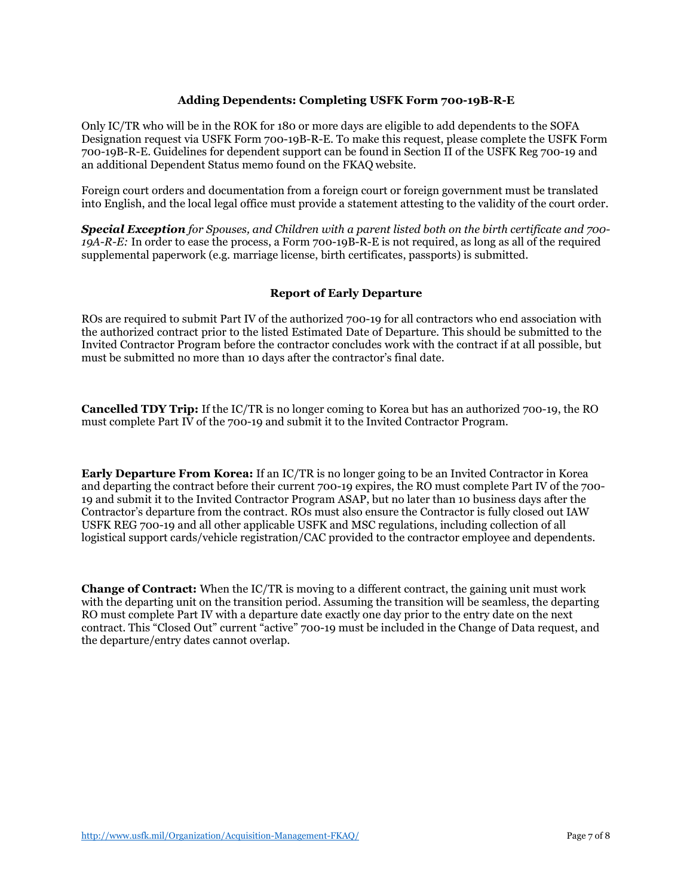## **Adding Dependents: Completing USFK Form 700-19B-R-E**

Only IC/TR who will be in the ROK for 180 or more days are eligible to add dependents to the SOFA Designation request via USFK Form 700-19B-R-E. To make this request, please complete the USFK Form 700-19B-R-E. Guidelines for dependent support can be found in Section II of the USFK Reg 700-19 and an additional Dependent Status memo found on the FKAQ website.

Foreign court orders and documentation from a foreign court or foreign government must be translated into English, and the local legal office must provide a statement attesting to the validity of the court order.

*Special Exception for Spouses, and Children with a parent listed both on the birth certificate and 700- 19A-R-E:* In order to ease the process, a Form 700-19B-R-E is not required, as long as all of the required supplemental paperwork (e.g. marriage license, birth certificates, passports) is submitted.

## **Report of Early Departure**

ROs are required to submit Part IV of the authorized 700-19 for all contractors who end association with the authorized contract prior to the listed Estimated Date of Departure. This should be submitted to the Invited Contractor Program before the contractor concludes work with the contract if at all possible, but must be submitted no more than 10 days after the contractor's final date.

**Cancelled TDY Trip:** If the IC/TR is no longer coming to Korea but has an authorized 700-19, the RO must complete Part IV of the 700-19 and submit it to the Invited Contractor Program.

**Early Departure From Korea:** If an IC/TR is no longer going to be an Invited Contractor in Korea and departing the contract before their current 700-19 expires, the RO must complete Part IV of the 700- 19 and submit it to the Invited Contractor Program ASAP, but no later than 10 business days after the Contractor's departure from the contract. ROs must also ensure the Contractor is fully closed out IAW USFK REG 700-19 and all other applicable USFK and MSC regulations, including collection of all logistical support cards/vehicle registration/CAC provided to the contractor employee and dependents.

**Change of Contract:** When the IC/TR is moving to a different contract, the gaining unit must work with the departing unit on the transition period. Assuming the transition will be seamless, the departing RO must complete Part IV with a departure date exactly one day prior to the entry date on the next contract. This "Closed Out" current "active" 700-19 must be included in the Change of Data request, and the departure/entry dates cannot overlap.